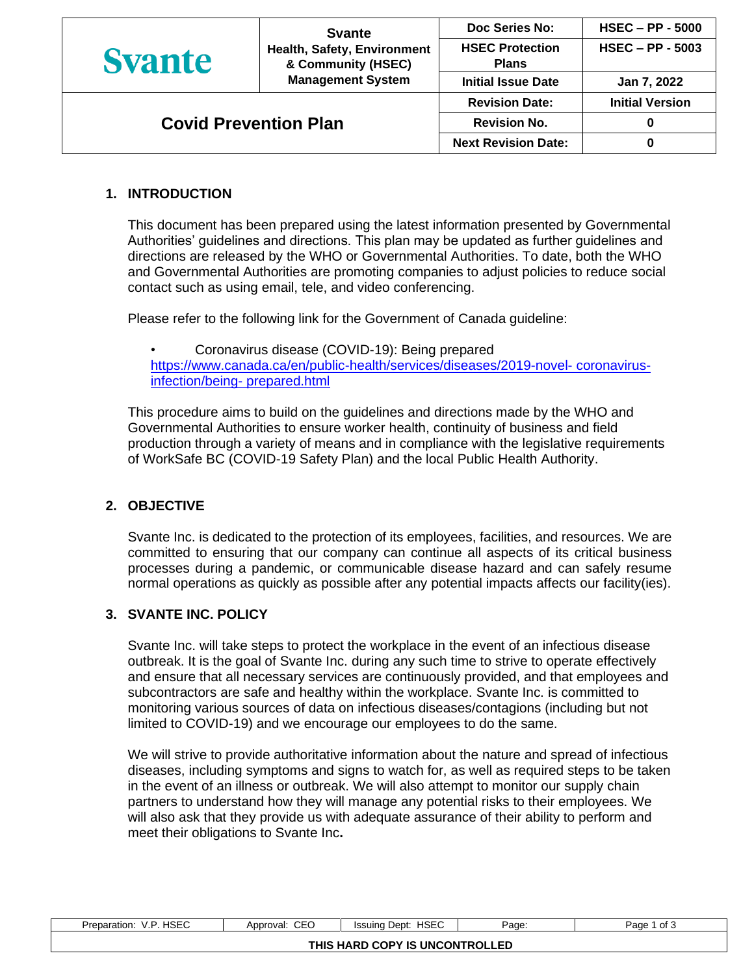| <b>Svante</b>                |                                                                               | Doc Series No:                         | $HSEC - PP - 5000$     |
|------------------------------|-------------------------------------------------------------------------------|----------------------------------------|------------------------|
| <b>Syante</b>                | Health, Safety, Environment<br>& Community (HSEC)<br><b>Management System</b> | <b>HSEC Protection</b><br><b>Plans</b> | $HSEC - PP - 5003$     |
|                              |                                                                               | <b>Initial Issue Date</b>              | Jan 7, 2022            |
|                              |                                                                               | <b>Revision Date:</b>                  | <b>Initial Version</b> |
| <b>Covid Prevention Plan</b> |                                                                               | <b>Revision No.</b>                    |                        |
|                              |                                                                               | <b>Next Revision Date:</b>             |                        |

# **1. INTRODUCTION**

This document has been prepared using the latest information presented by Governmental Authorities' guidelines and directions. This plan may be updated as further guidelines and directions are released by the WHO or Governmental Authorities. To date, both the WHO and Governmental Authorities are promoting companies to adjust policies to reduce social contact such as using email, tele, and video conferencing.

Please refer to the following link for the Government of Canada guideline:

• Coronavirus disease (COVID-19): Being prepared [https://www.canada.ca/en/public-health/services/diseases/2019-novel-](https://www.canada.ca/en/public-health/services/diseases/2019-novel-%20coronavirus-infection/being-%20prepared.html) coronavirus[infection/being-](https://www.canada.ca/en/public-health/services/diseases/2019-novel-%20coronavirus-infection/being-%20prepared.html) prepared.html

This procedure aims to build on the guidelines and directions made by the WHO and Governmental Authorities to ensure worker health, continuity of business and field production through a variety of means and in compliance with the legislative requirements of WorkSafe BC (COVID-19 Safety Plan) and the local Public Health Authority.

## **2. OBJECTIVE**

Svante Inc. is dedicated to the protection of its employees, facilities, and resources. We are committed to ensuring that our company can continue all aspects of its critical business processes during a pandemic, or communicable disease hazard and can safely resume normal operations as quickly as possible after any potential impacts affects our facility(ies).

## **3. SVANTE INC. POLICY**

Svante Inc. will take steps to protect the workplace in the event of an infectious disease outbreak. It is the goal of Svante Inc. during any such time to strive to operate effectively and ensure that all necessary services are continuously provided, and that employees and subcontractors are safe and healthy within the workplace. Svante Inc. is committed to monitoring various sources of data on infectious diseases/contagions (including but not limited to COVID-19) and we encourage our employees to do the same.

We will strive to provide authoritative information about the nature and spread of infectious diseases, including symptoms and signs to watch for, as well as required steps to be taken in the event of an illness or outbreak. We will also attempt to monitor our supply chain partners to understand how they will manage any potential risks to their employees. We will also ask that they provide us with adequate assurance of their ability to perform and meet their obligations to Svante Inc**.**

| <b>HSEC</b><br>.<br>\/ F<br>Preparation:<br>7. I | CEO<br>Approval. | <b>HSEC</b><br>Dept:<br>Issuina | Page: | `of ა<br>Page |
|--------------------------------------------------|------------------|---------------------------------|-------|---------------|
|                                                  |                  | THIS HARD COPY IS UNCONTROLLED  |       |               |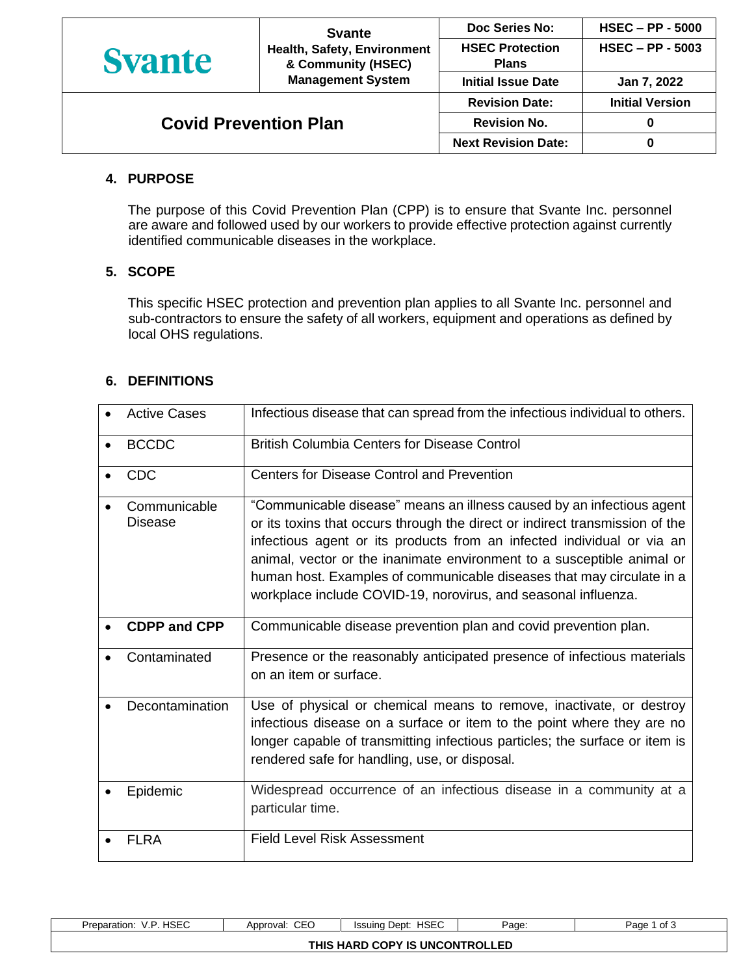|                              | <b>Svante</b><br>Health, Safety, Environment<br>& Community (HSEC)<br><b>Management System</b> | Doc Series No:                         | $HSEC - PP - 5000$     |
|------------------------------|------------------------------------------------------------------------------------------------|----------------------------------------|------------------------|
| <b>Syante</b>                |                                                                                                | <b>HSEC Protection</b><br><b>Plans</b> | $HSEC - PP - 5003$     |
|                              |                                                                                                | <b>Initial Issue Date</b>              | Jan 7, 2022            |
|                              |                                                                                                | <b>Revision Date:</b>                  | <b>Initial Version</b> |
| <b>Covid Prevention Plan</b> |                                                                                                | <b>Revision No.</b>                    | 0                      |
|                              |                                                                                                | <b>Next Revision Date:</b>             | 0                      |

### **4. PURPOSE**

The purpose of this Covid Prevention Plan (CPP) is to ensure that Svante Inc. personnel are aware and followed used by our workers to provide effective protection against currently identified communicable diseases in the workplace.

# **5. SCOPE**

This specific HSEC protection and prevention plan applies to all Svante Inc. personnel and sub-contractors to ensure the safety of all workers, equipment and operations as defined by local OHS regulations.

### **6. DEFINITIONS**

|           | <b>Active Cases</b>            | Infectious disease that can spread from the infectious individual to others.                                                                                                                                                                                                                                                                                                                                                                         |
|-----------|--------------------------------|------------------------------------------------------------------------------------------------------------------------------------------------------------------------------------------------------------------------------------------------------------------------------------------------------------------------------------------------------------------------------------------------------------------------------------------------------|
| $\bullet$ | <b>BCCDC</b>                   | <b>British Columbia Centers for Disease Control</b>                                                                                                                                                                                                                                                                                                                                                                                                  |
|           | <b>CDC</b>                     | Centers for Disease Control and Prevention                                                                                                                                                                                                                                                                                                                                                                                                           |
|           | Communicable<br><b>Disease</b> | "Communicable disease" means an illness caused by an infectious agent<br>or its toxins that occurs through the direct or indirect transmission of the<br>infectious agent or its products from an infected individual or via an<br>animal, vector or the inanimate environment to a susceptible animal or<br>human host. Examples of communicable diseases that may circulate in a<br>workplace include COVID-19, norovirus, and seasonal influenza. |
|           | <b>CDPP and CPP</b>            | Communicable disease prevention plan and covid prevention plan.                                                                                                                                                                                                                                                                                                                                                                                      |
|           | Contaminated                   | Presence or the reasonably anticipated presence of infectious materials<br>on an item or surface.                                                                                                                                                                                                                                                                                                                                                    |
|           | Decontamination                | Use of physical or chemical means to remove, inactivate, or destroy<br>infectious disease on a surface or item to the point where they are no<br>longer capable of transmitting infectious particles; the surface or item is<br>rendered safe for handling, use, or disposal.                                                                                                                                                                        |
|           | Epidemic                       | Widespread occurrence of an infectious disease in a community at a<br>particular time.                                                                                                                                                                                                                                                                                                                                                               |
|           | <b>FLRA</b>                    | <b>Field Level Risk Assessment</b>                                                                                                                                                                                                                                                                                                                                                                                                                   |

| <b>HSEC</b><br>ים י<br>Preparation:<br>$\cdot$ . | $\sim$ $\sim$<br>Approval:<br>∪⊏∪ | <b>HSEC</b><br>Dept:<br>Issuina            | Page: | of <sub>3</sub><br>Paɑe |
|--------------------------------------------------|-----------------------------------|--------------------------------------------|-------|-------------------------|
|                                                  |                                   | <b>D COPY IS UNCONTROLLED</b><br>THIS HARD |       |                         |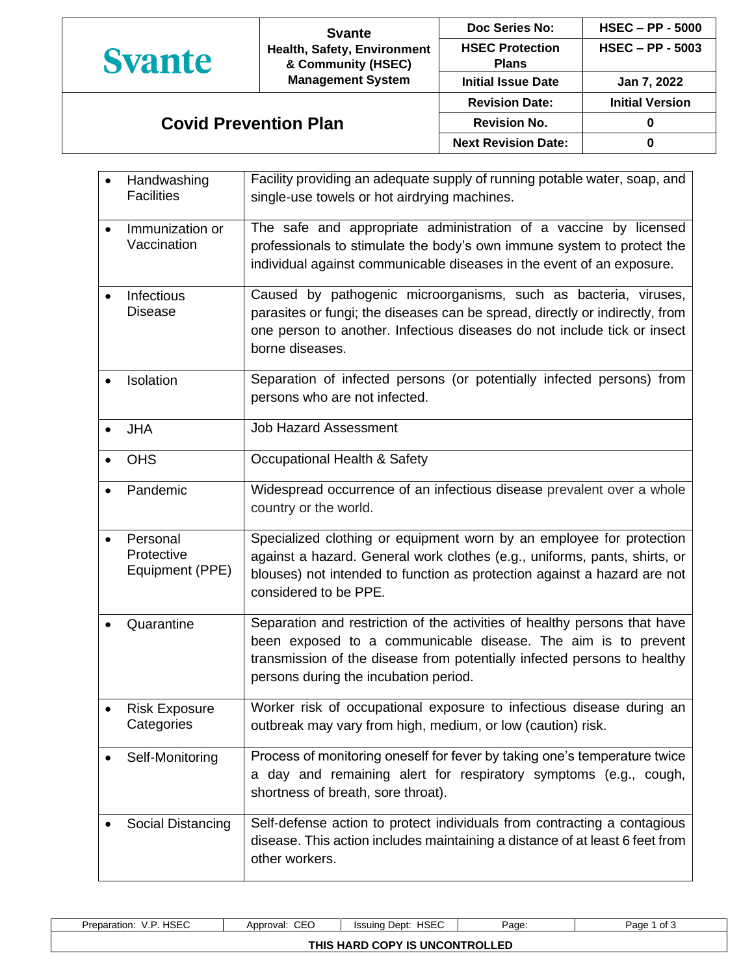|                              | <b>Svante</b>                                                                 | Doc Series No:                         | $HSEC - PP - 5000$     |
|------------------------------|-------------------------------------------------------------------------------|----------------------------------------|------------------------|
| <b>Syante</b>                | Health, Safety, Environment<br>& Community (HSEC)<br><b>Management System</b> | <b>HSEC Protection</b><br><b>Plans</b> | $HSEC - PP - 5003$     |
|                              |                                                                               | <b>Initial Issue Date</b>              | Jan 7, 2022            |
|                              |                                                                               | <b>Revision Date:</b>                  | <b>Initial Version</b> |
| <b>Covid Prevention Plan</b> |                                                                               | <b>Revision No.</b>                    |                        |
|                              |                                                                               | <b>Next Revision Date:</b>             |                        |

|           | Handwashing<br><b>Facilities</b>          | Facility providing an adequate supply of running potable water, soap, and<br>single-use towels or hot airdrying machines.                                                                                                                                       |
|-----------|-------------------------------------------|-----------------------------------------------------------------------------------------------------------------------------------------------------------------------------------------------------------------------------------------------------------------|
| $\bullet$ | Immunization or<br>Vaccination            | The safe and appropriate administration of a vaccine by licensed<br>professionals to stimulate the body's own immune system to protect the<br>individual against communicable diseases in the event of an exposure.                                             |
| $\bullet$ | Infectious<br><b>Disease</b>              | Caused by pathogenic microorganisms, such as bacteria, viruses,<br>parasites or fungi; the diseases can be spread, directly or indirectly, from<br>one person to another. Infectious diseases do not include tick or insect<br>borne diseases.                  |
|           | Isolation                                 | Separation of infected persons (or potentially infected persons) from<br>persons who are not infected.                                                                                                                                                          |
|           | <b>JHA</b>                                | <b>Job Hazard Assessment</b>                                                                                                                                                                                                                                    |
|           | <b>OHS</b>                                | Occupational Health & Safety                                                                                                                                                                                                                                    |
|           | Pandemic                                  | Widespread occurrence of an infectious disease prevalent over a whole<br>country or the world.                                                                                                                                                                  |
| $\bullet$ | Personal<br>Protective<br>Equipment (PPE) | Specialized clothing or equipment worn by an employee for protection<br>against a hazard. General work clothes (e.g., uniforms, pants, shirts, or<br>blouses) not intended to function as protection against a hazard are not<br>considered to be PPE.          |
|           | Quarantine                                | Separation and restriction of the activities of healthy persons that have<br>been exposed to a communicable disease. The aim is to prevent<br>transmission of the disease from potentially infected persons to healthy<br>persons during the incubation period. |
|           | <b>Risk Exposure</b><br>Categories        | Worker risk of occupational exposure to infectious disease during an<br>outbreak may vary from high, medium, or low (caution) risk.                                                                                                                             |
|           | Self-Monitoring                           | Process of monitoring oneself for fever by taking one's temperature twice<br>a day and remaining alert for respiratory symptoms (e.g., cough,<br>shortness of breath, sore throat).                                                                             |
|           | Social Distancing                         | Self-defense action to protect individuals from contracting a contagious<br>disease. This action includes maintaining a distance of at least 6 feet from<br>other workers.                                                                                      |

| <b>HSEC</b><br>V.P<br>Preparation: | CEO<br>Approval: | HSEC<br>Issuina Dept: | Page: | of 3<br>Page |  |
|------------------------------------|------------------|-----------------------|-------|--------------|--|
| THIS HARD COPY IS UNCONTROLLED     |                  |                       |       |              |  |
|                                    |                  |                       |       |              |  |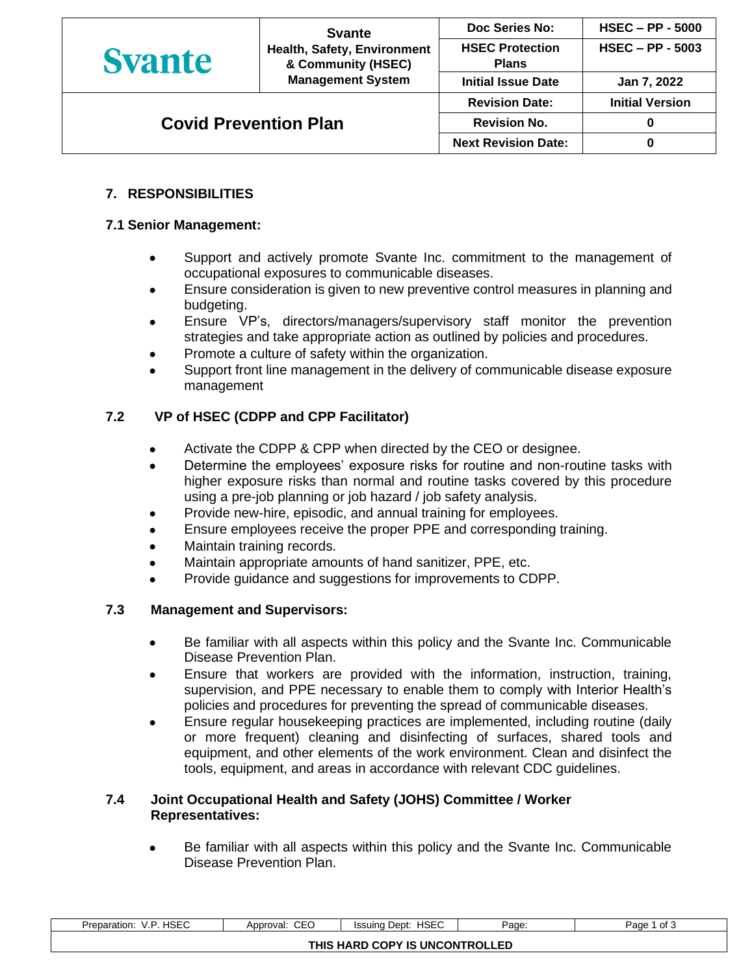| <b>Syante</b>                | <b>Svante</b><br>Health, Safety, Environment<br>& Community (HSEC)<br><b>Management System</b> | Doc Series No:                         | $HSEC - PP - 5000$     |
|------------------------------|------------------------------------------------------------------------------------------------|----------------------------------------|------------------------|
|                              |                                                                                                | <b>HSEC Protection</b><br><b>Plans</b> | $HSEC - PP - 5003$     |
|                              |                                                                                                | <b>Initial Issue Date</b>              | Jan 7, 2022            |
| <b>Covid Prevention Plan</b> |                                                                                                | <b>Revision Date:</b>                  | <b>Initial Version</b> |
|                              |                                                                                                | <b>Revision No.</b>                    |                        |
|                              |                                                                                                | <b>Next Revision Date:</b>             |                        |

# **7. RESPONSIBILITIES**

### **7.1 Senior Management:**

- Support and actively promote Svante Inc. commitment to the management of occupational exposures to communicable diseases.
- Ensure consideration is given to new preventive control measures in planning and budgeting.
- Ensure VP's, directors/managers/supervisory staff monitor the prevention strategies and take appropriate action as outlined by policies and procedures.
- Promote a culture of safety within the organization.
- Support front line management in the delivery of communicable disease exposure management

### **7.2 VP of HSEC (CDPP and CPP Facilitator)**

- Activate the CDPP & CPP when directed by the CEO or designee.
- Determine the employees' exposure risks for routine and non-routine tasks with higher exposure risks than normal and routine tasks covered by this procedure using a pre-job planning or job hazard / job safety analysis.
- Provide new-hire, episodic, and annual training for employees.
- Ensure employees receive the proper PPE and corresponding training.
- Maintain training records.
- Maintain appropriate amounts of hand sanitizer, PPE, etc.
- Provide guidance and suggestions for improvements to CDPP.

### **7.3 Management and Supervisors:**

- Be familiar with all aspects within this policy and the Svante Inc. Communicable Disease Prevention Plan.
- Ensure that workers are provided with the information, instruction, training, supervision, and PPE necessary to enable them to comply with Interior Health's policies and procedures for preventing the spread of communicable diseases.
- Ensure regular housekeeping practices are implemented, including routine (daily or more frequent) cleaning and disinfecting of surfaces, shared tools and equipment, and other elements of the work environment. Clean and disinfect the tools, equipment, and areas in accordance with relevant CDC guidelines.

### **7.4 Joint Occupational Health and Safety (JOHS) Committee / Worker Representatives:**

• Be familiar with all aspects within this policy and the Svante Inc. Communicable Disease Prevention Plan.

| <b>HSEC</b><br>Preparation:<br>v<br>v.ı | CEO<br>Approval: | <b>HSEC</b><br>Issuing Dept: | Page: | of <sub>3</sub><br>Paɑe |  |
|-----------------------------------------|------------------|------------------------------|-------|-------------------------|--|
| THIS HARD COPY IS UNCONTROLLED          |                  |                              |       |                         |  |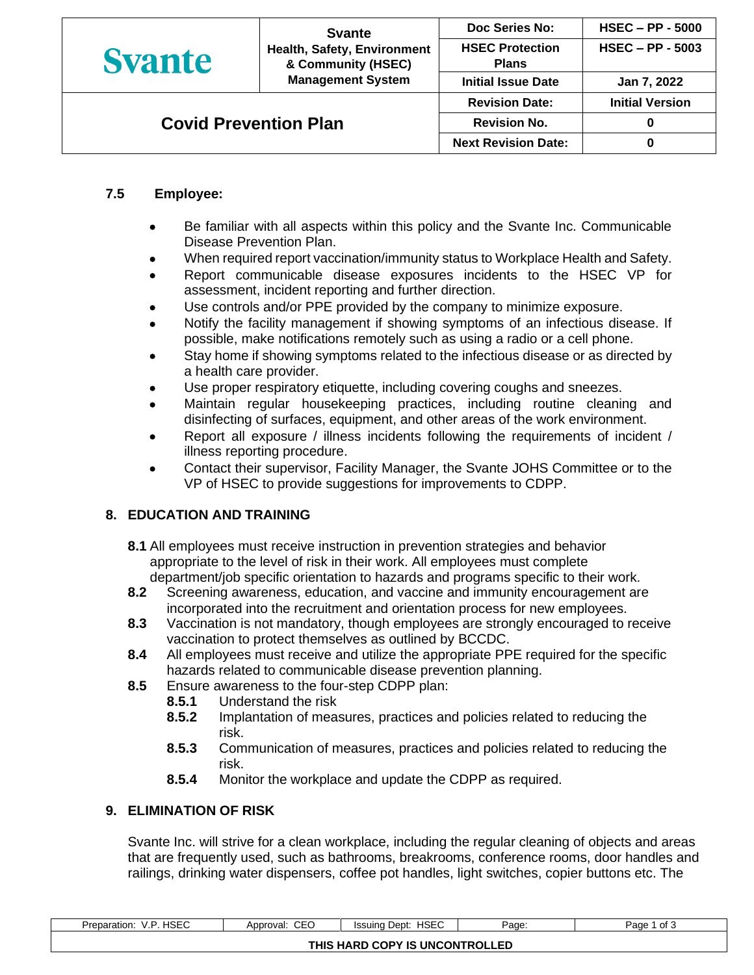|                              | <b>Svante</b><br>Health, Safety, Environment<br>& Community (HSEC)<br><b>Management System</b> | Doc Series No:                         | <b>HSEC - PP - 5000</b> |
|------------------------------|------------------------------------------------------------------------------------------------|----------------------------------------|-------------------------|
| <b>Syante</b>                |                                                                                                | <b>HSEC Protection</b><br><b>Plans</b> | $HSEC - PP - 5003$      |
|                              |                                                                                                | <b>Initial Issue Date</b>              | Jan 7, 2022             |
| <b>Covid Prevention Plan</b> |                                                                                                | <b>Revision Date:</b>                  | <b>Initial Version</b>  |
|                              |                                                                                                | <b>Revision No.</b>                    |                         |
|                              |                                                                                                | <b>Next Revision Date:</b>             |                         |

# **7.5 Employee:**

- Be familiar with all aspects within this policy and the Svante Inc. Communicable Disease Prevention Plan.
- When required report vaccination/immunity status to Workplace Health and Safety.
- Report communicable disease exposures incidents to the HSEC VP for assessment, incident reporting and further direction.
- Use controls and/or PPE provided by the company to minimize exposure.
- Notify the facility management if showing symptoms of an infectious disease. If possible, make notifications remotely such as using a radio or a cell phone.
- Stay home if showing symptoms related to the infectious disease or as directed by a health care provider.
- Use proper respiratory etiquette, including covering coughs and sneezes.
- Maintain regular housekeeping practices, including routine cleaning and disinfecting of surfaces, equipment, and other areas of the work environment.
- Report all exposure / illness incidents following the requirements of incident / illness reporting procedure.
- Contact their supervisor, Facility Manager, the Svante JOHS Committee or to the VP of HSEC to provide suggestions for improvements to CDPP.

## **8. EDUCATION AND TRAINING**

- **8.1** All employees must receive instruction in prevention strategies and behavior appropriate to the level of risk in their work. All employees must complete department/job specific orientation to hazards and programs specific to their work.
- **8.2** Screening awareness, education, and vaccine and immunity encouragement are incorporated into the recruitment and orientation process for new employees.
- **8.3** Vaccination is not mandatory, though employees are strongly encouraged to receive vaccination to protect themselves as outlined by BCCDC.
- **8.4** All employees must receive and utilize the appropriate PPE required for the specific hazards related to communicable disease prevention planning.
- **8.5** Ensure awareness to the four-step CDPP plan:
	- **8.5.1** Understand the risk
	- **8.5.2** Implantation of measures, practices and policies related to reducing the risk.
	- **8.5.3** Communication of measures, practices and policies related to reducing the risk.
	- **8.5.4** Monitor the workplace and update the CDPP as required.

## **9. ELIMINATION OF RISK**

Svante Inc. will strive for a clean workplace, including the regular cleaning of objects and areas that are frequently used, such as bathrooms, breakrooms, conference rooms, door handles and railings, drinking water dispensers, coffee pot handles, light switches, copier buttons etc. The

| HSEC<br>Preparation:<br>٠. | CEC<br>Approval:<br>◡∟◡ | <b>HSEC</b><br>Dept:<br>Issuina | Page: | of 3<br>Page 1 |
|----------------------------|-------------------------|---------------------------------|-------|----------------|
|                            |                         | THIS HARD COPY IS UNCONTROLLED  |       |                |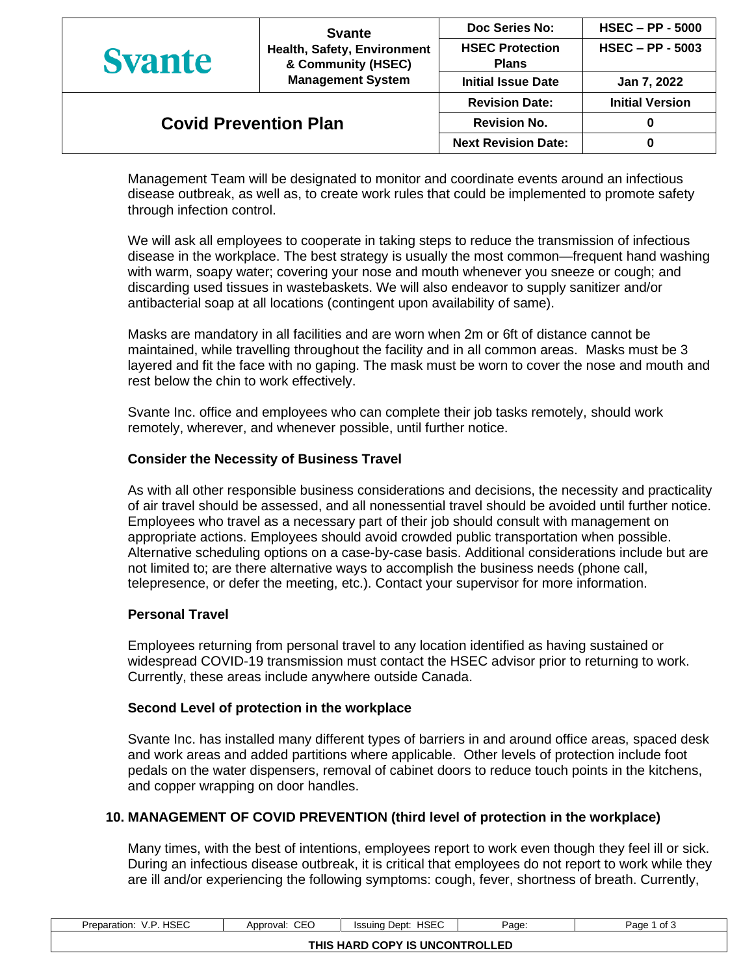|                              | <b>Svante</b><br>Health, Safety, Environment<br>& Community (HSEC)<br><b>Management System</b> | Doc Series No:                         | $HSEC - PP - 5000$     |
|------------------------------|------------------------------------------------------------------------------------------------|----------------------------------------|------------------------|
| <b>Syante</b>                |                                                                                                | <b>HSEC Protection</b><br><b>Plans</b> | $HSEC - PP - 5003$     |
|                              |                                                                                                | <b>Initial Issue Date</b>              | Jan 7, 2022            |
|                              |                                                                                                | <b>Revision Date:</b>                  | <b>Initial Version</b> |
| <b>Covid Prevention Plan</b> |                                                                                                | <b>Revision No.</b>                    |                        |
|                              |                                                                                                | <b>Next Revision Date:</b>             |                        |

Management Team will be designated to monitor and coordinate events around an infectious disease outbreak, as well as, to create work rules that could be implemented to promote safety through infection control.

We will ask all employees to cooperate in taking steps to reduce the transmission of infectious disease in the workplace. The best strategy is usually the most common—frequent hand washing with warm, soapy water; covering your nose and mouth whenever you sneeze or cough; and discarding used tissues in wastebaskets. We will also endeavor to supply sanitizer and/or antibacterial soap at all locations (contingent upon availability of same).

Masks are mandatory in all facilities and are worn when 2m or 6ft of distance cannot be maintained, while travelling throughout the facility and in all common areas. Masks must be 3 layered and fit the face with no gaping. The mask must be worn to cover the nose and mouth and rest below the chin to work effectively.

Svante Inc. office and employees who can complete their job tasks remotely, should work remotely, wherever, and whenever possible, until further notice.

### **Consider the Necessity of Business Travel**

As with all other responsible business considerations and decisions, the necessity and practicality of air travel should be assessed, and all nonessential travel should be avoided until further notice. Employees who travel as a necessary part of their job should consult with management on appropriate actions. Employees should avoid crowded public transportation when possible. Alternative scheduling options on a case-by-case basis. Additional considerations include but are not limited to; are there alternative ways to accomplish the business needs (phone call, telepresence, or defer the meeting, etc.). Contact your supervisor for more information.

### **Personal Travel**

Employees returning from personal travel to any location identified as having sustained or widespread COVID-19 transmission must contact the HSEC advisor prior to returning to work. Currently, these areas include anywhere outside Canada.

### **Second Level of protection in the workplace**

Svante Inc. has installed many different types of barriers in and around office areas, spaced desk and work areas and added partitions where applicable. Other levels of protection include foot pedals on the water dispensers, removal of cabinet doors to reduce touch points in the kitchens, and copper wrapping on door handles.

### **10. MANAGEMENT OF COVID PREVENTION (third level of protection in the workplace)**

Many times, with the best of intentions, employees report to work even though they feel ill or sick. During an infectious disease outbreak, it is critical that employees do not report to work while they are ill and/or experiencing the following symptoms: cough, fever, shortness of breath. Currently,

| <b>HSEC</b><br>17 D<br>Preparation:<br>V.I | CEC<br>Approval: | <b>HSEC</b><br>Dept:<br>Issuina | Page: | of 3<br>Page 1 |  |
|--------------------------------------------|------------------|---------------------------------|-------|----------------|--|
| THIS HARD COPY IS UNCONTROLLED             |                  |                                 |       |                |  |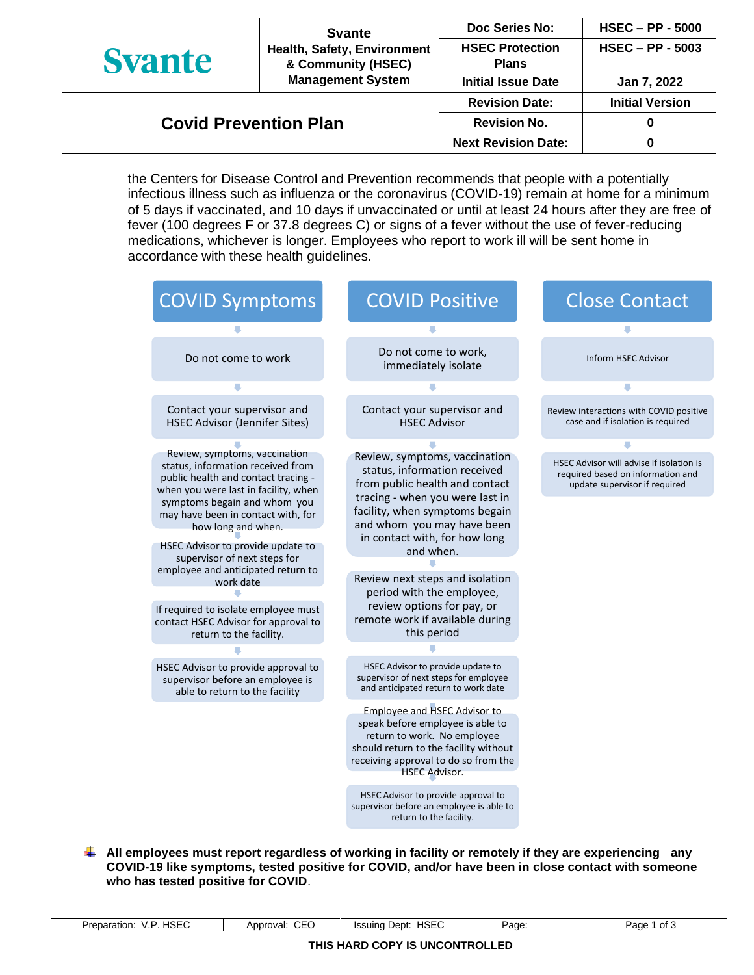|                              | <b>Svante</b>                                     | Doc Series No:                         | $HSEC - PP - 5000$     |
|------------------------------|---------------------------------------------------|----------------------------------------|------------------------|
| <b>Syante</b>                | Health, Safety, Environment<br>& Community (HSEC) | <b>HSEC Protection</b><br><b>Plans</b> | $HSEC - PP - 5003$     |
|                              | <b>Management System</b>                          | <b>Initial Issue Date</b>              | Jan 7, 2022            |
|                              |                                                   | <b>Revision Date:</b>                  | <b>Initial Version</b> |
| <b>Covid Prevention Plan</b> |                                                   | <b>Revision No.</b>                    | 0                      |
|                              |                                                   | <b>Next Revision Date:</b>             | 0                      |

the Centers for Disease Control and Prevention recommends that people with a potentially infectious illness such as influenza or the coronavirus (COVID-19) remain at home for a minimum of 5 days if vaccinated, and 10 days if unvaccinated or until at least 24 hours after they are free of fever (100 degrees F or 37.8 degrees C) or signs of a fever without the use of fever-reducing medications, whichever is longer. Employees who report to work ill will be sent home in accordance with these health guidelines.



**All employees must report regardless of working in facility or remotely if they are experiencing any COVID-19 like symptoms, tested positive for COVID, and/or have been in close contact with someone who has tested positive for COVID**.

| HSEC<br>V.P<br>Preparation:    | CEO<br>Approval: | <b>HSEC</b><br>Issuing Dept: | Page: | of 3<br>Page |  |
|--------------------------------|------------------|------------------------------|-------|--------------|--|
| THIS HARD COPY IS UNCONTROLLED |                  |                              |       |              |  |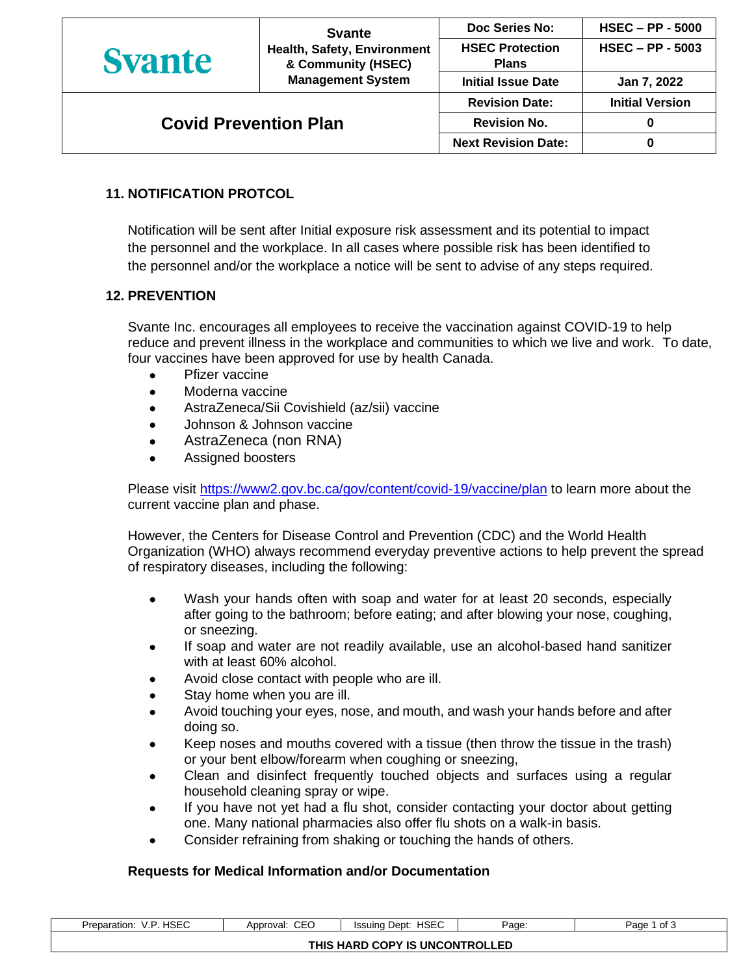|                              | <b>Svante</b><br>Health, Safety, Environment<br>& Community (HSEC)<br><b>Management System</b> | Doc Series No:                         | <b>HSEC - PP - 5000</b> |
|------------------------------|------------------------------------------------------------------------------------------------|----------------------------------------|-------------------------|
| <b>Syante</b>                |                                                                                                | <b>HSEC Protection</b><br><b>Plans</b> | $HSEC - PP - 5003$      |
|                              |                                                                                                | <b>Initial Issue Date</b>              | Jan 7, 2022             |
|                              |                                                                                                | <b>Revision Date:</b>                  | <b>Initial Version</b>  |
| <b>Covid Prevention Plan</b> |                                                                                                | <b>Revision No.</b>                    |                         |
|                              |                                                                                                | <b>Next Revision Date:</b>             |                         |

# **11. NOTIFICATION PROTCOL**

Notification will be sent after Initial exposure risk assessment and its potential to impact the personnel and the workplace. In all cases where possible risk has been identified to the personnel and/or the workplace a notice will be sent to advise of any steps required.

### **12. PREVENTION**

Svante Inc. encourages all employees to receive the vaccination against COVID-19 to help reduce and prevent illness in the workplace and communities to which we live and work. To date, four vaccines have been approved for use by health Canada.

- Pfizer vaccine
- Moderna vaccine
- AstraZeneca/Sii Covishield (az/sii) vaccine
- Johnson & Johnson vaccine
- AstraZeneca (non RNA)
- Assigned boosters

Please visit<https://www2.gov.bc.ca/gov/content/covid-19/vaccine/plan> to learn more about the current vaccine plan and phase.

However, the Centers for Disease Control and Prevention (CDC) and the World Health Organization (WHO) always recommend everyday preventive actions to help prevent the spread of respiratory diseases, including the following:

- Wash your hands often with soap and water for at least 20 seconds, especially after going to the bathroom; before eating; and after blowing your nose, coughing, or sneezing.
- If soap and water are not readily available, use an alcohol-based hand sanitizer with at least 60% alcohol.
- Avoid close contact with people who are ill.
- Stay home when you are ill.
- Avoid touching your eyes, nose, and mouth, and wash your hands before and after doing so.
- Keep noses and mouths covered with a tissue (then throw the tissue in the trash) or your bent elbow/forearm when coughing or sneezing,
- Clean and disinfect frequently touched objects and surfaces using a regular household cleaning spray or wipe.
- If you have not yet had a flu shot, consider contacting your doctor about getting one. Many national pharmacies also offer flu shots on a walk-in basis.
- Consider refraining from shaking or touching the hands of others.

## **Requests for Medical Information and/or Documentation**

| HSEC<br>Preparation:<br>v. l   | <b>CEC</b><br>Approval: | <b>HSEC</b><br>Issuing Dept: | Page:<br>. . | of 3<br>Page |  |
|--------------------------------|-------------------------|------------------------------|--------------|--------------|--|
| THIS HARD COPY IS UNCONTROLLED |                         |                              |              |              |  |